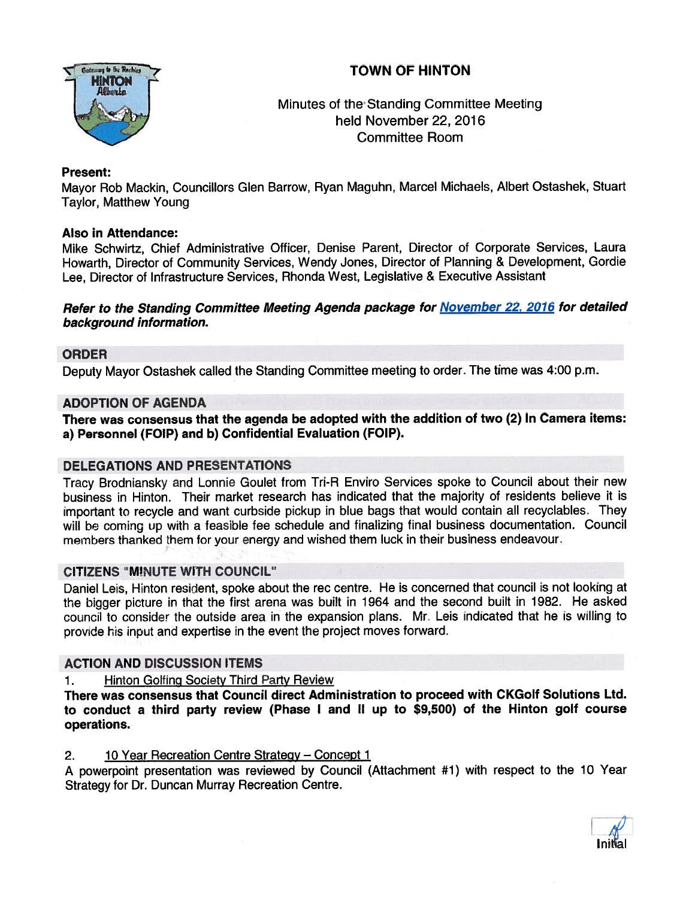# TOWN OF HINTON



Minutes of the Standing Committee Meeting held November 22, 2016 Committee Room

# Present:

Mayor Rob Mackin, Councillors Glen Barrow, Ryan Maguhn, Marcel Michaels, Albert Ostashek, Stuart Taylor, Matthew Young

# Also in Attendance:

Mike Schwirtz, Chief Administrative Officer, Denise Parent, Director of Corporate Services, Laura Howarth, Director of Community Services, Wendy Jones, Director of Planning & Development, Gordie Lee, Director of Infrastructure Services, Rhonda West, Legislative & Executive Assistant

### Refer to the Standing Committee Meeting Agenda package for November 22, 2016 for detailed background information.

# ORDER

Deputy Mayor Ostashek called the Standing Committee meeting to order. The time was 4:00 p.m.

# ADOPTION OF AGENDA

There was consensus that the agenda be adopted with the addition of two (2) In Camera items: a) Personnel (FOIP) and b) Confidential Evaluation (FOIP).

# DELEGATIONS AND PRESENTATIONS

Tracy Brodniansky and Lonnie Goulet from Tri-R Enviro Services spoke to Council about their new business in Hinton. Their market research has indicated that the majority of residents believe it is important to recycle and want curbside <sup>p</sup>ickup in blue bags that would contain all recyclables. They will be coming up with a feasible fee schedule and finalizing final business documentation. Council members thanked them for your energy and wished them luck in their business endeavour.

# CITIZENS "M!NUTE WITH COUNCIL"

Daniel Leis, Hinton resident, spoke about the rec centre. He is concerned that council is not looking at the bigger <sup>p</sup>icture in that the first arena was built in <sup>1964</sup> and the second built in 1982. He asked council to consider the outside area in the expansion plans. Mr. Leis indicated that he is willing to provide his input and expertise in the event the project moves forward.

# ACTION AND DISCUSSION ITEMS

# 1. Hinton Golfing Society Third Party Review

There was consensus that Council direct Administration to proceed with CKGolf Solutions Ltd. to conduct <sup>a</sup> third party review (Phase <sup>I</sup> and II up to \$9,500) of the Hinton golf course operations.

### 2. 10 Year Recreation Centre Strategy - Concept 1

<sup>A</sup> powerpoint presentation was reviewed by Council (Attachment #1) with respec<sup>t</sup> to the <sup>10</sup> Year Strategy for Dr. Duncan Murray Recreation Centre.